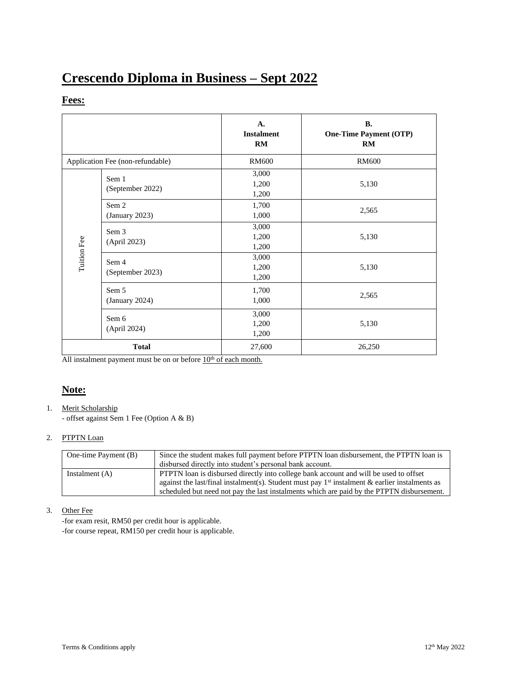# **Crescendo Diploma in Business – Sept 2022**

### **Fees:**

|                                  |                           | A.<br><b>Instalment</b><br>RM | <b>B.</b><br><b>One-Time Payment (OTP)</b><br>RM |
|----------------------------------|---------------------------|-------------------------------|--------------------------------------------------|
| Application Fee (non-refundable) |                           | <b>RM600</b>                  | <b>RM600</b>                                     |
|                                  | Sem 1<br>(September 2022) | 3,000<br>1,200<br>1,200       | 5,130                                            |
|                                  | Sem 2<br>(January 2023)   | 1,700<br>1,000                | 2,565                                            |
| Tuition Fee                      | Sem 3<br>(April 2023)     | 3,000<br>1,200<br>1,200       | 5,130                                            |
|                                  | Sem 4<br>(September 2023) | 3,000<br>1,200<br>1,200       | 5,130                                            |
|                                  | Sem 5<br>(January 2024)   | 1,700<br>1,000                | 2,565                                            |
|                                  | Sem 6<br>(April 2024)     | 3,000<br>1,200<br>1,200       | 5,130                                            |
| <b>Total</b>                     |                           | 27,600                        | 26,250                                           |

All instalment payment must be on or before  $10<sup>th</sup>$  of each month.

## **Note:**

1. Merit Scholarship

- offset against Sem 1 Fee (Option A & B)

#### 2. PTPTN Loan

| One-time Payment (B) | Since the student makes full payment before PTPTN loan disbursement, the PTPTN loan is           |  |  |
|----------------------|--------------------------------------------------------------------------------------------------|--|--|
|                      | disbursed directly into student's personal bank account.                                         |  |  |
| Instalment $(A)$     | PTPTN loan is disbursed directly into college bank account and will be used to offset            |  |  |
|                      | against the last/final instalment(s). Student must pay $1st$ instalment & earlier instalments as |  |  |
|                      | scheduled but need not pay the last instalments which are paid by the PTPTN disbursement.        |  |  |

#### 3. Other Fee

-for exam resit, RM50 per credit hour is applicable. -for course repeat, RM150 per credit hour is applicable.